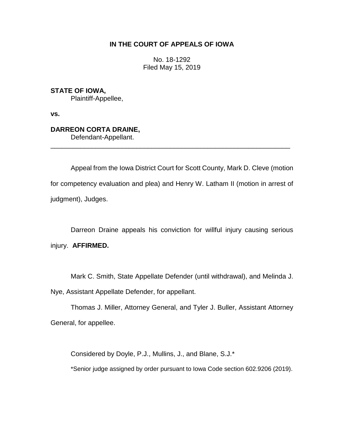### **IN THE COURT OF APPEALS OF IOWA**

No. 18-1292 Filed May 15, 2019

**STATE OF IOWA,** Plaintiff-Appellee,

**vs.**

## **DARREON CORTA DRAINE,**

Defendant-Appellant.

Appeal from the Iowa District Court for Scott County, Mark D. Cleve (motion for competency evaluation and plea) and Henry W. Latham II (motion in arrest of judgment), Judges.

\_\_\_\_\_\_\_\_\_\_\_\_\_\_\_\_\_\_\_\_\_\_\_\_\_\_\_\_\_\_\_\_\_\_\_\_\_\_\_\_\_\_\_\_\_\_\_\_\_\_\_\_\_\_\_\_\_\_\_\_\_\_\_\_

Darreon Draine appeals his conviction for willful injury causing serious injury. **AFFIRMED.**

Mark C. Smith, State Appellate Defender (until withdrawal), and Melinda J. Nye, Assistant Appellate Defender, for appellant.

Thomas J. Miller, Attorney General, and Tyler J. Buller, Assistant Attorney General, for appellee.

Considered by Doyle, P.J., Mullins, J., and Blane, S.J.\*

\*Senior judge assigned by order pursuant to Iowa Code section 602.9206 (2019).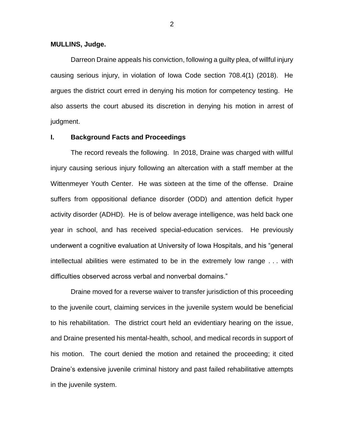#### **MULLINS, Judge.**

Darreon Draine appeals his conviction, following a guilty plea, of willful injury causing serious injury, in violation of Iowa Code section 708.4(1) (2018). He argues the district court erred in denying his motion for competency testing. He also asserts the court abused its discretion in denying his motion in arrest of judgment.

### **I. Background Facts and Proceedings**

The record reveals the following. In 2018, Draine was charged with willful injury causing serious injury following an altercation with a staff member at the Wittenmeyer Youth Center. He was sixteen at the time of the offense. Draine suffers from oppositional defiance disorder (ODD) and attention deficit hyper activity disorder (ADHD). He is of below average intelligence, was held back one year in school, and has received special-education services. He previously underwent a cognitive evaluation at University of Iowa Hospitals, and his "general intellectual abilities were estimated to be in the extremely low range . . . with difficulties observed across verbal and nonverbal domains."

Draine moved for a reverse waiver to transfer jurisdiction of this proceeding to the juvenile court, claiming services in the juvenile system would be beneficial to his rehabilitation. The district court held an evidentiary hearing on the issue, and Draine presented his mental-health, school, and medical records in support of his motion. The court denied the motion and retained the proceeding; it cited Draine's extensive juvenile criminal history and past failed rehabilitative attempts in the juvenile system.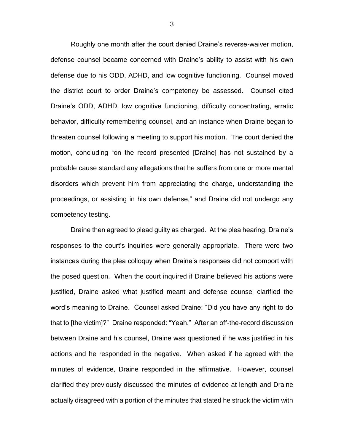Roughly one month after the court denied Draine's reverse-waiver motion, defense counsel became concerned with Draine's ability to assist with his own defense due to his ODD, ADHD, and low cognitive functioning. Counsel moved the district court to order Draine's competency be assessed. Counsel cited Draine's ODD, ADHD, low cognitive functioning, difficulty concentrating, erratic behavior, difficulty remembering counsel, and an instance when Draine began to threaten counsel following a meeting to support his motion. The court denied the motion, concluding "on the record presented [Draine] has not sustained by a probable cause standard any allegations that he suffers from one or more mental disorders which prevent him from appreciating the charge, understanding the proceedings, or assisting in his own defense," and Draine did not undergo any competency testing.

Draine then agreed to plead guilty as charged. At the plea hearing, Draine's responses to the court's inquiries were generally appropriate. There were two instances during the plea colloquy when Draine's responses did not comport with the posed question. When the court inquired if Draine believed his actions were justified, Draine asked what justified meant and defense counsel clarified the word's meaning to Draine. Counsel asked Draine: "Did you have any right to do that to [the victim]?" Draine responded: "Yeah." After an off-the-record discussion between Draine and his counsel, Draine was questioned if he was justified in his actions and he responded in the negative. When asked if he agreed with the minutes of evidence, Draine responded in the affirmative. However, counsel clarified they previously discussed the minutes of evidence at length and Draine actually disagreed with a portion of the minutes that stated he struck the victim with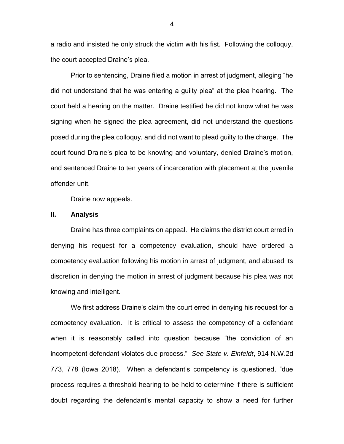a radio and insisted he only struck the victim with his fist. Following the colloquy, the court accepted Draine's plea.

Prior to sentencing, Draine filed a motion in arrest of judgment, alleging "he did not understand that he was entering a guilty plea" at the plea hearing. The court held a hearing on the matter. Draine testified he did not know what he was signing when he signed the plea agreement, did not understand the questions posed during the plea colloquy, and did not want to plead guilty to the charge. The court found Draine's plea to be knowing and voluntary, denied Draine's motion, and sentenced Draine to ten years of incarceration with placement at the juvenile offender unit.

Draine now appeals.

#### **II. Analysis**

Draine has three complaints on appeal. He claims the district court erred in denying his request for a competency evaluation, should have ordered a competency evaluation following his motion in arrest of judgment, and abused its discretion in denying the motion in arrest of judgment because his plea was not knowing and intelligent.

We first address Draine's claim the court erred in denying his request for a competency evaluation. It is critical to assess the competency of a defendant when it is reasonably called into question because "the conviction of an incompetent defendant violates due process." *See State v. Einfeldt*, 914 N.W.2d 773, 778 (Iowa 2018). When a defendant's competency is questioned, "due process requires a threshold hearing to be held to determine if there is sufficient doubt regarding the defendant's mental capacity to show a need for further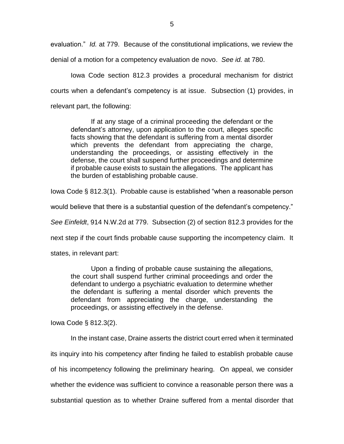evaluation." *Id.* at 779. Because of the constitutional implications, we review the

denial of a motion for a competency evaluation de novo. *See id.* at 780.

Iowa Code section 812.3 provides a procedural mechanism for district courts when a defendant's competency is at issue. Subsection (1) provides, in relevant part, the following:

If at any stage of a criminal proceeding the defendant or the defendant's attorney, upon application to the court, alleges specific facts showing that the defendant is suffering from a mental disorder which prevents the defendant from appreciating the charge, understanding the proceedings, or assisting effectively in the defense, the court shall suspend further proceedings and determine if probable cause exists to sustain the allegations. The applicant has the burden of establishing probable cause.

Iowa Code § 812.3(1). Probable cause is established "when a reasonable person

would believe that there is a substantial question of the defendant's competency."

*See Einfeldt*, 914 N.W.2d at 779. Subsection (2) of section 812.3 provides for the

next step if the court finds probable cause supporting the incompetency claim. It

states, in relevant part:

Upon a finding of probable cause sustaining the allegations, the court shall suspend further criminal proceedings and order the defendant to undergo a psychiatric evaluation to determine whether the defendant is suffering a mental disorder which prevents the defendant from appreciating the charge, understanding the proceedings, or assisting effectively in the defense.

Iowa Code § 812.3(2).

In the instant case, Draine asserts the district court erred when it terminated its inquiry into his competency after finding he failed to establish probable cause of his incompetency following the preliminary hearing. On appeal, we consider whether the evidence was sufficient to convince a reasonable person there was a substantial question as to whether Draine suffered from a mental disorder that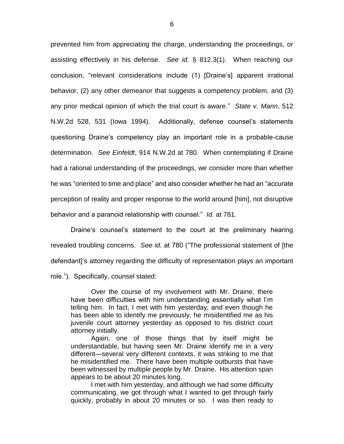prevented him from appreciating the charge, understanding the proceedings, or assisting effectively in his defense. *See id.* § 812.3(1). When reaching our conclusion, "relevant considerations include (1) [Draine's] apparent irrational behavior, (2) any other demeanor that suggests a competency problem, and (3) any prior medical opinion of which the trial court is aware." *State v. Mann*, 512 N.W.2d 528, 531 (Iowa 1994). Additionally, defense counsel's statements questioning Draine's competency play an important role in a probable-cause determination. *See Einfeldt*, 914 N.W.2d at 780. When contemplating if Draine had a rational understanding of the proceedings, we consider more than whether he was "oriented to time and place" and also consider whether he had an "accurate perception of reality and proper response to the world around [him], not disruptive behavior and a paranoid relationship with counsel." *Id.* at 781.

Draine's counsel's statement to the court at the preliminary hearing revealed troubling concerns. *See id.* at 780 ("The professional statement of [the defendant]'s attorney regarding the difficulty of representation plays an important role."). Specifically, counsel stated:

Over the course of my involvement with Mr. Draine, there have been difficulties with him understanding essentially what I'm telling him. In fact, I met with him yesterday, and even though he has been able to identify me previously, he misidentified me as his juvenile court attorney yesterday as opposed to his district court attorney initially.

Again, one of those things that by itself might be understandable, but having seen Mr. Draine identify me in a very different—several very different contexts, it was striking to me that he misidentified me. There have been multiple outbursts that have been witnessed by multiple people by Mr. Draine. His attention span appears to be about 20 minutes long.

I met with him yesterday, and although we had some difficulty communicating, we got through what I wanted to get through fairly quickly, probably in about 20 minutes or so. I was then ready to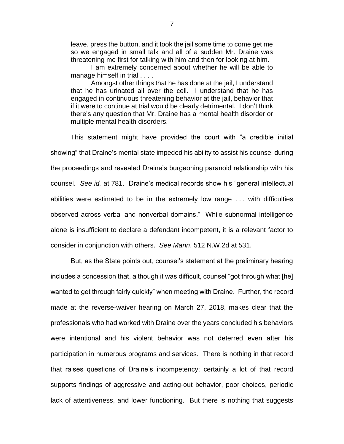leave, press the button, and it took the jail some time to come get me so we engaged in small talk and all of a sudden Mr. Draine was threatening me first for talking with him and then for looking at him.

I am extremely concerned about whether he will be able to manage himself in trial . . . .

Amongst other things that he has done at the jail, I understand that he has urinated all over the cell. I understand that he has engaged in continuous threatening behavior at the jail, behavior that if it were to continue at trial would be clearly detrimental. I don't think there's any question that Mr. Draine has a mental health disorder or multiple mental health disorders.

This statement might have provided the court with "a credible initial showing" that Draine's mental state impeded his ability to assist his counsel during the proceedings and revealed Draine's burgeoning paranoid relationship with his counsel. *See id.* at 781. Draine's medical records show his "general intellectual abilities were estimated to be in the extremely low range . . . with difficulties observed across verbal and nonverbal domains." While subnormal intelligence alone is insufficient to declare a defendant incompetent, it is a relevant factor to consider in conjunction with others. *See Mann*, 512 N.W.2d at 531.

But, as the State points out, counsel's statement at the preliminary hearing includes a concession that, although it was difficult, counsel "got through what [he] wanted to get through fairly quickly" when meeting with Draine. Further, the record made at the reverse-waiver hearing on March 27, 2018, makes clear that the professionals who had worked with Draine over the years concluded his behaviors were intentional and his violent behavior was not deterred even after his participation in numerous programs and services. There is nothing in that record that raises questions of Draine's incompetency; certainly a lot of that record supports findings of aggressive and acting-out behavior, poor choices, periodic lack of attentiveness, and lower functioning. But there is nothing that suggests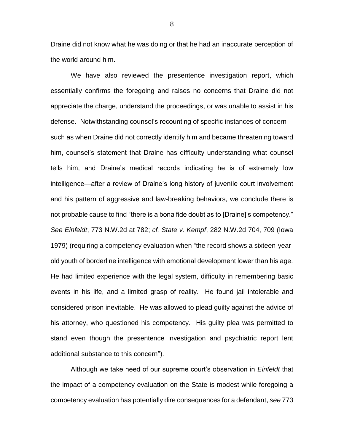Draine did not know what he was doing or that he had an inaccurate perception of the world around him.

We have also reviewed the presentence investigation report, which essentially confirms the foregoing and raises no concerns that Draine did not appreciate the charge, understand the proceedings, or was unable to assist in his defense. Notwithstanding counsel's recounting of specific instances of concern such as when Draine did not correctly identify him and became threatening toward him, counsel's statement that Draine has difficulty understanding what counsel tells him, and Draine's medical records indicating he is of extremely low intelligence—after a review of Draine's long history of juvenile court involvement and his pattern of aggressive and law-breaking behaviors, we conclude there is not probable cause to find "there is a bona fide doubt as to [Draine]'s competency." *See Einfeldt*, 773 N.W.2d at 782; *cf. State v. Kempf*, 282 N.W.2d 704, 709 (Iowa 1979) (requiring a competency evaluation when "the record shows a sixteen-yearold youth of borderline intelligence with emotional development lower than his age. He had limited experience with the legal system, difficulty in remembering basic events in his life, and a limited grasp of reality. He found jail intolerable and considered prison inevitable. He was allowed to plead guilty against the advice of his attorney, who questioned his competency. His guilty plea was permitted to stand even though the presentence investigation and psychiatric report lent additional substance to this concern").

Although we take heed of our supreme court's observation in *Einfeldt* that the impact of a competency evaluation on the State is modest while foregoing a competency evaluation has potentially dire consequences for a defendant, *see* 773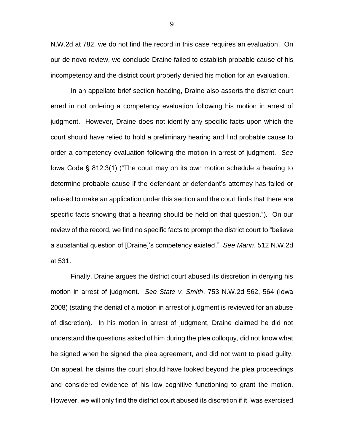N.W.2d at 782, we do not find the record in this case requires an evaluation. On our de novo review, we conclude Draine failed to establish probable cause of his incompetency and the district court properly denied his motion for an evaluation.

In an appellate brief section heading, Draine also asserts the district court erred in not ordering a competency evaluation following his motion in arrest of judgment. However, Draine does not identify any specific facts upon which the court should have relied to hold a preliminary hearing and find probable cause to order a competency evaluation following the motion in arrest of judgment. *See* Iowa Code § 812.3(1) ("The court may on its own motion schedule a hearing to determine probable cause if the defendant or defendant's attorney has failed or refused to make an application under this section and the court finds that there are specific facts showing that a hearing should be held on that question."). On our review of the record, we find no specific facts to prompt the district court to "believe a substantial question of [Draine]'s competency existed." *See Mann*, 512 N.W.2d at 531.

Finally, Draine argues the district court abused its discretion in denying his motion in arrest of judgment. *See State v. Smith*, 753 N.W.2d 562, 564 (Iowa 2008) (stating the denial of a motion in arrest of judgment is reviewed for an abuse of discretion). In his motion in arrest of judgment, Draine claimed he did not understand the questions asked of him during the plea colloquy, did not know what he signed when he signed the plea agreement, and did not want to plead guilty. On appeal, he claims the court should have looked beyond the plea proceedings and considered evidence of his low cognitive functioning to grant the motion. However, we will only find the district court abused its discretion if it "was exercised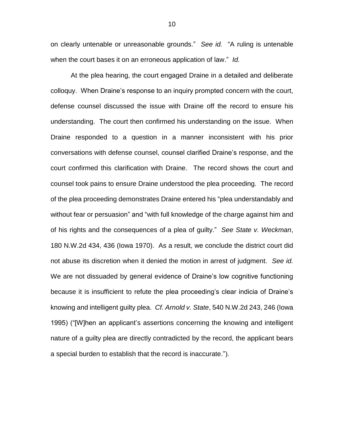on clearly untenable or unreasonable grounds." *See id.* "A ruling is untenable when the court bases it on an erroneous application of law." *Id.*

At the plea hearing, the court engaged Draine in a detailed and deliberate colloquy. When Draine's response to an inquiry prompted concern with the court, defense counsel discussed the issue with Draine off the record to ensure his understanding. The court then confirmed his understanding on the issue. When Draine responded to a question in a manner inconsistent with his prior conversations with defense counsel, counsel clarified Draine's response, and the court confirmed this clarification with Draine. The record shows the court and counsel took pains to ensure Draine understood the plea proceeding. The record of the plea proceeding demonstrates Draine entered his "plea understandably and without fear or persuasion" and "with full knowledge of the charge against him and of his rights and the consequences of a plea of guilty." *See State v. Weckman*, 180 N.W.2d 434, 436 (Iowa 1970). As a result, we conclude the district court did not abuse its discretion when it denied the motion in arrest of judgment. *See id.* We are not dissuaded by general evidence of Draine's low cognitive functioning because it is insufficient to refute the plea proceeding's clear indicia of Draine's knowing and intelligent guilty plea. *Cf. Arnold v. State*, 540 N.W.2d 243, 246 (Iowa 1995) ("[W]hen an applicant's assertions concerning the knowing and intelligent nature of a guilty plea are directly contradicted by the record, the applicant bears a special burden to establish that the record is inaccurate.").